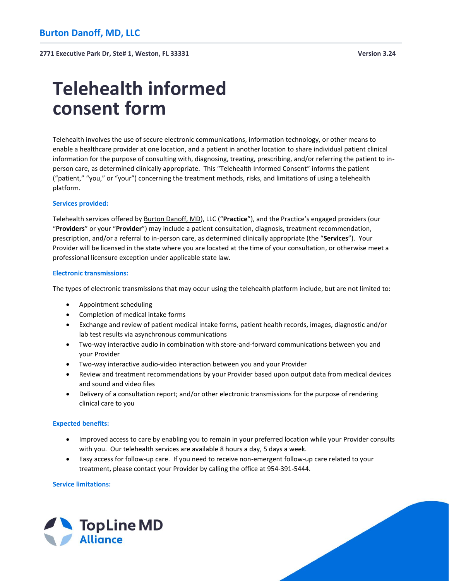# **Telehealth informed consent form**

Telehealth involves the use of secure electronic communications, information technology, or other means to enable a healthcare provider at one location, and a patient in another location to share individual patient clinical information for the purpose of consulting with, diagnosing, treating, prescribing, and/or referring the patient to inperson care, as determined clinically appropriate. This "Telehealth Informed Consent" informs the patient ("patient," "you," or "your") concerning the treatment methods, risks, and limitations of using a telehealth platform.

### **Services provided:**

Telehealth services offered by Burton Danoff, MD), LLC ("**Practice**"), and the Practice's engaged providers (our "**Providers**" or your "**Provider**") may include a patient consultation, diagnosis, treatment recommendation, prescription, and/or a referral to in-person care, as determined clinically appropriate (the "**Services**"). Your Provider will be licensed in the state where you are located at the time of your consultation, or otherwise meet a professional licensure exception under applicable state law.

### **Electronic transmissions:**

The types of electronic transmissions that may occur using the telehealth platform include, but are not limited to:

- Appointment scheduling
- Completion of medical intake forms
- Exchange and review of patient medical intake forms, patient health records, images, diagnostic and/or lab test results via asynchronous communications
- Two-way interactive audio in combination with store-and-forward communications between you and your Provider
- Two-way interactive audio-video interaction between you and your Provider
- Review and treatment recommendations by your Provider based upon output data from medical devices and sound and video files
- Delivery of a consultation report; and/or other electronic transmissions for the purpose of rendering clinical care to you

#### **Expected benefits:**

- Improved access to care by enabling you to remain in your preferred location while your Provider consults with you. Our telehealth services are available 8 hours a day, 5 days a week.
- Easy access for follow-up care. If you need to receive non-emergent follow-up care related to your treatment, please contact your Provider by calling the office at 954-391-5444.

**Service limitations:**

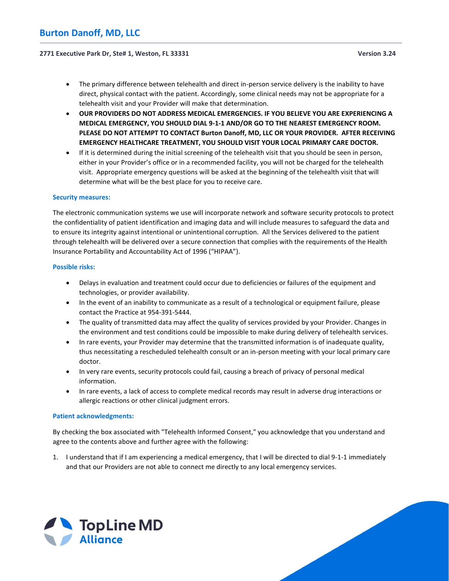#### **2771 Executive Park Dr, Ste# 1, Weston, FL 33331 Version 3.24**

- The primary difference between telehealth and direct in-person service delivery is the inability to have direct, physical contact with the patient. Accordingly, some clinical needs may not be appropriate for a telehealth visit and your Provider will make that determination.
- **OUR PROVIDERS DO NOT ADDRESS MEDICAL EMERGENCIES. IF YOU BELIEVE YOU ARE EXPERIENCING A MEDICAL EMERGENCY, YOU SHOULD DIAL 9-1-1 AND/OR GO TO THE NEAREST EMERGENCY ROOM. PLEASE DO NOT ATTEMPT TO CONTACT Burton Danoff, MD, LLC OR YOUR PROVIDER. AFTER RECEIVING EMERGENCY HEALTHCARE TREATMENT, YOU SHOULD VISIT YOUR LOCAL PRIMARY CARE DOCTOR.**
- If it is determined during the initial screening of the telehealth visit that you should be seen in person, either in your Provider's office or in a recommended facility, you will not be charged for the telehealth visit. Appropriate emergency questions will be asked at the beginning of the telehealth visit that will determine what will be the best place for you to receive care.

#### **Security measures:**

The electronic communication systems we use will incorporate network and software security protocols to protect the confidentiality of patient identification and imaging data and will include measures to safeguard the data and to ensure its integrity against intentional or unintentional corruption. All the Services delivered to the patient through telehealth will be delivered over a secure connection that complies with the requirements of the Health Insurance Portability and Accountability Act of 1996 ("HIPAA").

#### **Possible risks:**

- Delays in evaluation and treatment could occur due to deficiencies or failures of the equipment and technologies, or provider availability.
- In the event of an inability to communicate as a result of a technological or equipment failure, please contact the Practice at 954-391-5444.
- The quality of transmitted data may affect the quality of services provided by your Provider. Changes in the environment and test conditions could be impossible to make during delivery of telehealth services.
- In rare events, your Provider may determine that the transmitted information is of inadequate quality, thus necessitating a rescheduled telehealth consult or an in-person meeting with your local primary care doctor.
- In very rare events, security protocols could fail, causing a breach of privacy of personal medical information.
- In rare events, a lack of access to complete medical records may result in adverse drug interactions or allergic reactions or other clinical judgment errors.

#### **Patient acknowledgments:**

By checking the box associated with "Telehealth Informed Consent," you acknowledge that you understand and agree to the contents above and further agree with the following:

1. I understand that if I am experiencing a medical emergency, that I will be directed to dial 9-1-1 immediately and that our Providers are not able to connect me directly to any local emergency services.

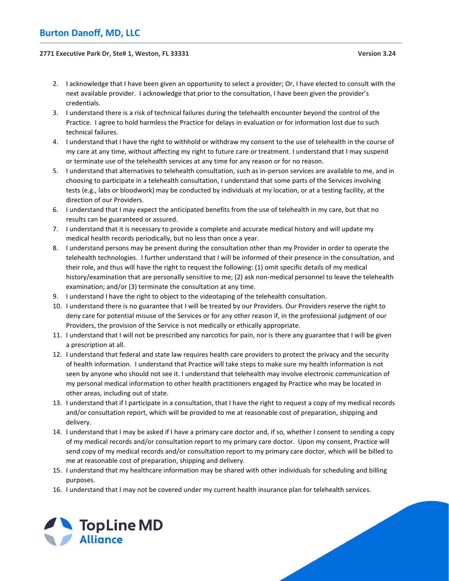## **Burton Danoff, MD, LLC**

#### **2771 Executive Park Dr, Ste# 1, Weston, FL 33331 Version 3.24**

- 2. I acknowledge that I have been given an opportunity to select a provider; Or, I have elected to consult with the next available provider. I acknowledge that prior to the consultation, I have been given the provider's credentials.
- 3. I understand there is a risk of technical failures during the telehealth encounter beyond the control of the Practice. I agree to hold harmless the Practice for delays in evaluation or for information lost due to such technical failures.
- 4. I understand that I have the right to withhold or withdraw my consent to the use of telehealth in the course of my care at any time, without affecting my right to future care or treatment. I understand that I may suspend or terminate use of the telehealth services at any time for any reason or for no reason.
- 5. I understand that alternatives to telehealth consultation, such as in-person services are available to me, and in choosing to participate in a telehealth consultation, I understand that some parts of the Services involving tests (e.g., labs or bloodwork) may be conducted by individuals at my location, or at a testing facility, at the direction of our Providers.
- 6. I understand that I may expect the anticipated benefits from the use of telehealth in my care, but that no results can be guaranteed or assured.
- 7. I understand that it is necessary to provide a complete and accurate medical history and will update my medical health records periodically, but no less than once a year.
- 8. I understand persons may be present during the consultation other than my Provider in order to operate the telehealth technologies. I further understand that I will be informed of their presence in the consultation, and their role, and thus will have the right to request the following: (1) omit specific details of my medical history/examination that are personally sensitive to me; (2) ask non-medical personnel to leave the telehealth examination; and/or (3) terminate the consultation at any time.
- 9. I understand I have the right to object to the videotaping of the telehealth consultation.
- 10. I understand there is no guarantee that I will be treated by our Providers. Our Providers reserve the right to deny care for potential misuse of the Services or for any other reason if, in the professional judgment of our Providers, the provision of the Service is not medically or ethically appropriate.
- 11. I understand that I will not be prescribed any narcotics for pain, nor is there any guarantee that I will be given a prescription at all.
- 12. I understand that federal and state law requires health care providers to protect the privacy and the security of health information. I understand that Practice will take steps to make sure my health information is not seen by anyone who should not see it. I understand that telehealth may involve electronic communication of my personal medical information to other health practitioners engaged by Practice who may be located in other areas, including out of state.
- 13. I understand that if I participate in a consultation, that I have the right to request a copy of my medical records and/or consultation report, which will be provided to me at reasonable cost of preparation, shipping and delivery.
- 14. I understand that I may be asked if I have a primary care doctor and, if so, whether I consent to sending a copy of my medical records and/or consultation report to my primary care doctor. Upon my consent, Practice will send copy of my medical records and/or consultation report to my primary care doctor, which will be billed to me at reasonable cost of preparation, shipping and delivery.
- 15. I understand that my healthcare information may be shared with other individuals for scheduling and billing purposes.
- 16. I understand that I may not be covered under my current health insurance plan for telehealth services.